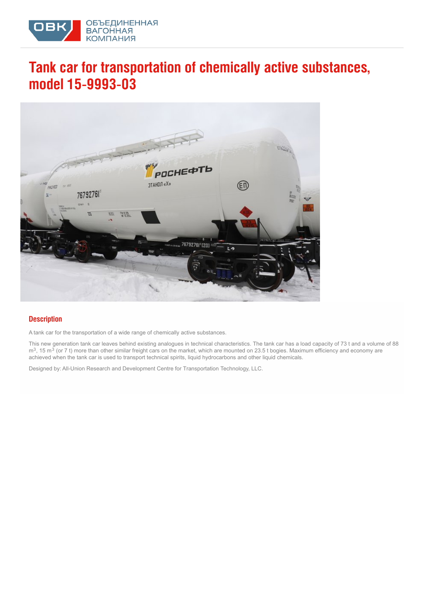

## **Tank car for transportation of chemically active substances, model 15-9993-03**



## **Description**

A tank car for the transportation of a wide range of chemically active substances.

This new generation tank car leaves behind existing analogues in technical characteristics. The tank car has a load capacity of 73 t and a volume of 88  $m<sup>3</sup>$ , 15 m<sup>3</sup> (or 7 t) more than other similar freight cars on the market, which are mounted on 23.5 t bogies. Maximum efficiency and economy are achieved when the tank car is used to transport technical spirits, liquid hydrocarbons and other liquid chemicals.

Designed by: All-Union Research and Development Centre for Transportation Technology, LLC.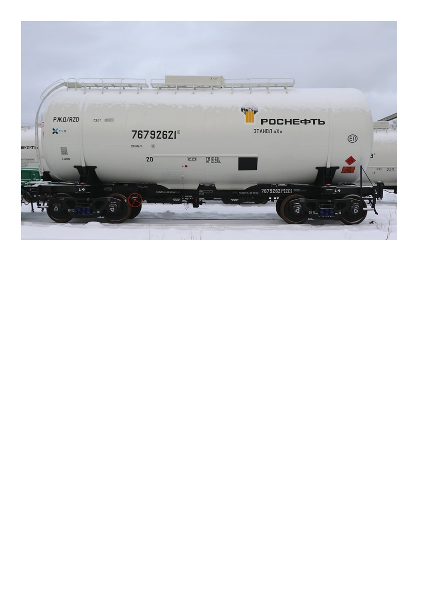